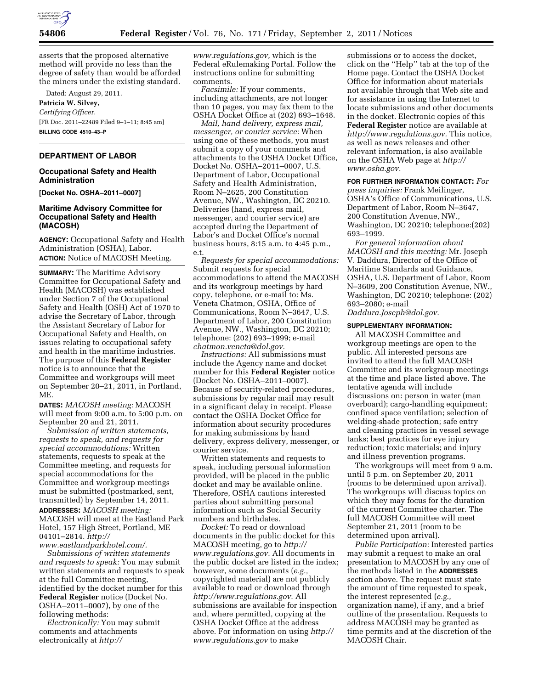

asserts that the proposed alternative method will provide no less than the degree of safety than would be afforded the miners under the existing standard.

Dated: August 29, 2011. **Patricia W. Silvey,**  *Certifying Officer.*  [FR Doc. 2011–22489 Filed 9–1–11; 8:45 am] **BILLING CODE 4510–43–P** 

#### **DEPARTMENT OF LABOR**

## **Occupational Safety and Health Administration**

**[Docket No. OSHA–2011–0007]** 

## **Maritime Advisory Committee for Occupational Safety and Health (MACOSH)**

**AGENCY:** Occupational Safety and Health Administration (OSHA), Labor. **ACTION:** Notice of MACOSH Meeting.

**SUMMARY:** The Maritime Advisory Committee for Occupational Safety and Health (MACOSH) was established under Section 7 of the Occupational Safety and Health (OSH) Act of 1970 to advise the Secretary of Labor, through the Assistant Secretary of Labor for Occupational Safety and Health, on issues relating to occupational safety and health in the maritime industries. The purpose of this **Federal Register**  notice is to announce that the Committee and workgroups will meet on September 20–21, 2011, in Portland, ME.

**DATES:** *MACOSH meeting:* MACOSH will meet from 9:00 a.m. to 5:00 p.m. on September 20 and 21, 2011.

*Submission of written statements, requests to speak, and requests for special accommodations:* Written statements, requests to speak at the Committee meeting, and requests for special accommodations for the Committee and workgroup meetings must be submitted (postmarked, sent, transmitted) by September 14, 2011. **ADDRESSES:** *MACOSH meeting:*  MACOSH will meet at the Eastland Park Hotel, 157 High Street, Portland, ME 04101–2814. *[http://](http://www.eastlandparkhotel.com/)  [www.eastlandparkhotel.com/.](http://www.eastlandparkhotel.com/)* 

*Submissions of written statements and requests to speak:* You may submit written statements and requests to speak at the full Committee meeting, identified by the docket number for this **Federal Register** notice (Docket No. OSHA–2011–0007), by one of the following methods:

*Electronically:* You may submit comments and attachments electronically at *[http://](http://www.regulations.gov)* 

*[www.regulations.gov,](http://www.regulations.gov)* which is the Federal eRulemaking Portal. Follow the instructions online for submitting comments.

*Facsimile:* If your comments, including attachments, are not longer than 10 pages, you may fax them to the OSHA Docket Office at (202) 693–1648.

*Mail, hand delivery, express mail, messenger, or courier service:* When using one of these methods, you must submit a copy of your comments and attachments to the OSHA Docket Office, Docket No. OSHA–2011–0007, U.S. Department of Labor, Occupational Safety and Health Administration, Room N–2625, 200 Constitution Avenue, NW., Washington, DC 20210. Deliveries (hand, express mail, messenger, and courier service) are accepted during the Department of Labor's and Docket Office's normal business hours, 8:15 a.m. to 4:45 p.m., e.t.

*Requests for special accommodations:*  Submit requests for special accommodations to attend the MACOSH and its workgroup meetings by hard copy, telephone, or e-mail to: Ms. Veneta Chatmon, OSHA, Office of Communications, Room N–3647, U.S. Department of Labor, 200 Constitution Avenue, NW., Washington, DC 20210; telephone: (202) 693–1999; e-mail *[chatmon.veneta@dol.gov.](mailto:chatmon.veneta@dol.gov)* 

*Instructions:* All submissions must include the Agency name and docket number for this **Federal Register** notice (Docket No. OSHA–2011–0007). Because of security-related procedures, submissions by regular mail may result in a significant delay in receipt. Please contact the OSHA Docket Office for information about security procedures for making submissions by hand delivery, express delivery, messenger, or courier service.

Written statements and requests to speak, including personal information provided, will be placed in the public docket and may be available online. Therefore, OSHA cautions interested parties about submitting personal information such as Social Security numbers and birthdates.

*Docket:* To read or download documents in the public docket for this MACOSH meeting, go to *[http://](http://www.regulations.gov) [www.regulations.gov.](http://www.regulations.gov)* All documents in the public docket are listed in the index; however, some documents (*e.g.,*  copyrighted material) are not publicly available to read or download through *[http://www.regulations.gov.](http://www.regulations.gov)* All submissions are available for inspection and, where permitted, copying at the OSHA Docket Office at the address above. For information on using *[http://](http://www.regulations.gov) [www.regulations.gov](http://www.regulations.gov)* to make

submissions or to access the docket, click on the ''Help'' tab at the top of the Home page. Contact the OSHA Docket Office for information about materials not available through that Web site and for assistance in using the Internet to locate submissions and other documents in the docket. Electronic copies of this **Federal Register** notice are available at *[http://www.regulations.gov.](http://www.regulations.gov)* This notice, as well as news releases and other relevant information, is also available on the OSHA Web page at *[http://](http://www.osha.gov) [www.osha.gov.](http://www.osha.gov)* 

**FOR FURTHER INFORMATION CONTACT:** *For press inquiries:* Frank Meilinger, OSHA's Office of Communications, U.S. Department of Labor, Room N–3647, 200 Constitution Avenue, NW., Washington, DC 20210; telephone:(202) 693–1999.

*For general information about MACOSH and this meeting:* Mr. Joseph V. Daddura, Director of the Office of Maritime Standards and Guidance, OSHA, U.S. Department of Labor, Room N–3609, 200 Constitution Avenue, NW., Washington, DC 20210; telephone: (202) 693–2080; e-mail

*[Daddura.Joseph@dol.gov.](mailto:Daddura.Joseph@dol.gov)* 

## **SUPPLEMENTARY INFORMATION:**

All MACOSH Committee and workgroup meetings are open to the public. All interested persons are invited to attend the full MACOSH Committee and its workgroup meetings at the time and place listed above. The tentative agenda will include discussions on: person in water (man overboard); cargo-handling equipment; confined space ventilation; selection of welding-shade protection; safe entry and cleaning practices in vessel sewage tanks; best practices for eye injury reduction; toxic materials; and injury and illness prevention programs.

The workgroups will meet from 9 a.m. until 5 p.m. on September 20, 2011 (rooms to be determined upon arrival). The workgroups will discuss topics on which they may focus for the duration of the current Committee charter. The full MACOSH Committee will meet September 21, 2011 (room to be determined upon arrival).

*Public Participation:* Interested parties may submit a request to make an oral presentation to MACOSH by any one of the methods listed in the **ADDRESSES** section above. The request must state the amount of time requested to speak, the interest represented (*e.g.,*  organization name), if any, and a brief outline of the presentation. Requests to address MACOSH may be granted as time permits and at the discretion of the MACOSH Chair.